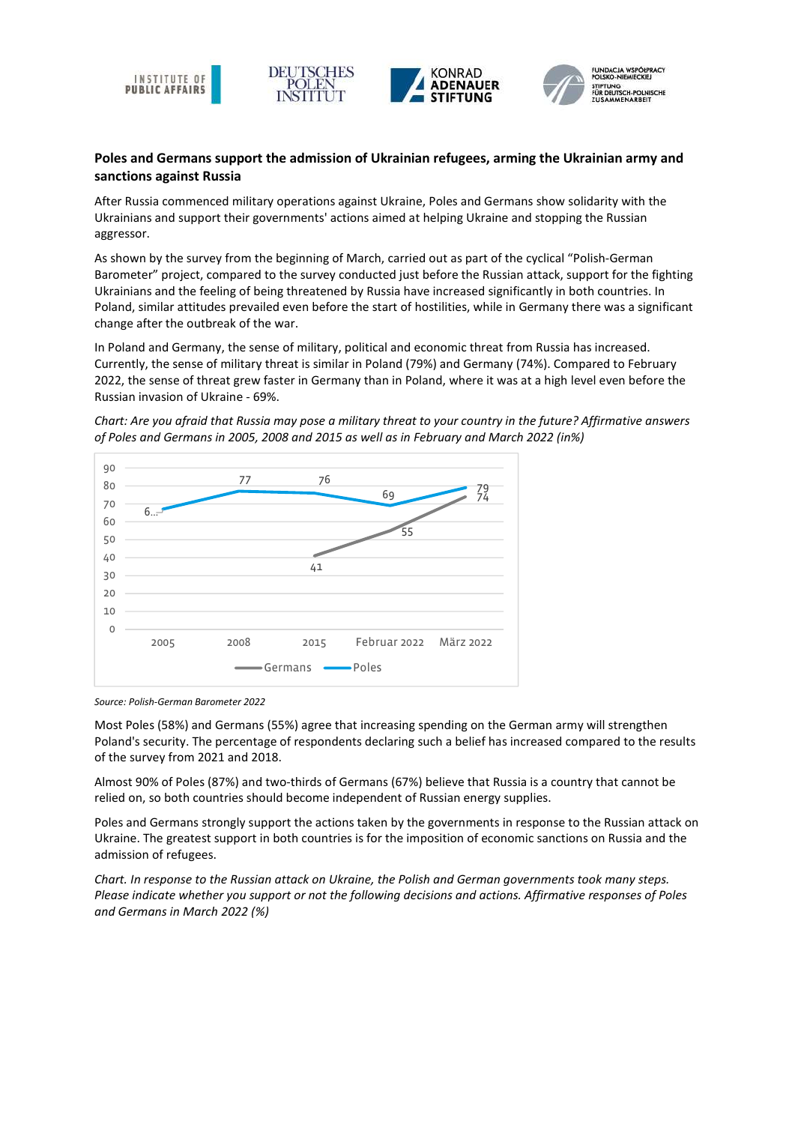





POLSKO-NIE STIFTUNG<br>FÜR DEUTSCH-POLNISCHE

## Poles and Germans support the admission of Ukrainian refugees, arming the Ukrainian army and sanctions against Russia

After Russia commenced military operations against Ukraine, Poles and Germans show solidarity with the Ukrainians and support their governments' actions aimed at helping Ukraine and stopping the Russian aggressor.

As shown by the survey from the beginning of March, carried out as part of the cyclical "Polish-German Barometer" project, compared to the survey conducted just before the Russian attack, support for the fighting Ukrainians and the feeling of being threatened by Russia have increased significantly in both countries. In Poland, similar attitudes prevailed even before the start of hostilities, while in Germany there was a significant change after the outbreak of the war.

In Poland and Germany, the sense of military, political and economic threat from Russia has increased. Currently, the sense of military threat is similar in Poland (79%) and Germany (74%). Compared to February 2022, the sense of threat grew faster in Germany than in Poland, where it was at a high level even before the Russian invasion of Ukraine - 69%.

Chart: Are you afraid that Russia may pose a military threat to your country in the future? Affirmative answers of Poles and Germans in 2005, 2008 and 2015 as well as in February and March 2022 (in%)



Source: Polish-German Barometer 2022

Most Poles (58%) and Germans (55%) agree that increasing spending on the German army will strengthen Poland's security. The percentage of respondents declaring such a belief has increased compared to the results of the survey from 2021 and 2018.

Almost 90% of Poles (87%) and two-thirds of Germans (67%) believe that Russia is a country that cannot be relied on, so both countries should become independent of Russian energy supplies.

Poles and Germans strongly support the actions taken by the governments in response to the Russian attack on Ukraine. The greatest support in both countries is for the imposition of economic sanctions on Russia and the admission of refugees.

Chart. In response to the Russian attack on Ukraine, the Polish and German governments took many steps. Please indicate whether you support or not the following decisions and actions. Affirmative responses of Poles and Germans in March 2022 (%)